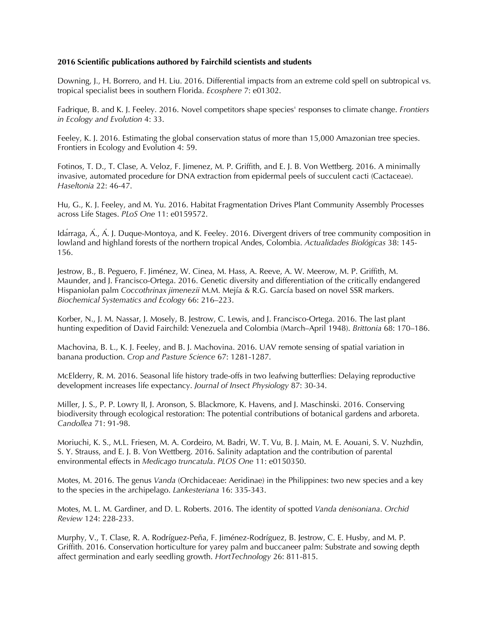## **2016 Scientific publications authored by Fairchild scientists and students**

Downing, J., H. Borrero, and H. Liu. 2016. Differential impacts from an extreme cold spell on subtropical vs. tropical specialist bees in southern Florida. *Ecosphere* 7: e01302.

Fadrique, B. and K. J. Feeley. 2016. Novel competitors shape species' responses to climate change. *Frontiers in Ecology and Evolution* 4: 33.

Feeley, K. J. 2016. Estimating the global conservation status of more than 15,000 Amazonian tree species. Frontiers in Ecology and Evolution 4: 59.

Fotinos, T. D., T. Clase, A. Veloz, F. Jimenez, M. P. Griffith, and E. J. B. Von Wettberg. 2016. A minimally invasive, automated procedure for DNA extraction from epidermal peels of succulent cacti (Cactaceae). *Haseltonia* 22: 46-47.

Hu, G., K. J. Feeley, and M. Yu. 2016. Habitat Fragmentation Drives Plant Community Assembly Processes across Life Stages. *PLoS One* 11: e0159572.

Idarraga, A., A. J. Duque-Montoya, and K. Feeley. 2016. Divergent drivers of tree community composition in lowland and highland forests of the northern tropical Andes, Colombia. *Actualidades Biológicas* 38: 145- 156.

Jestrow, B., B. Peguero, F. Jiménez, W. Cinea, M. Hass, A. Reeve, A. W. Meerow, M. P. Griffith, M. Maunder, and J. Francisco-Ortega. 2016. Genetic diversity and differentiation of the critically endangered Hispaniolan palm *Coccothrinax jimenezii* M.M. Mejía & R.G. García based on novel SSR markers. *Biochemical Systematics and Ecology* 66: 216–223.

Korber, N., J. M. Nassar, J. Mosely, B. Jestrow, C. Lewis, and J. Francisco-Ortega. 2016. The last plant hunting expedition of David Fairchild: Venezuela and Colombia (March–April 1948). *Brittonia* 68: 170–186.

Machovina, B. L., K. J. Feeley, and B. J. Machovina. 2016. UAV remote sensing of spatial variation in banana production. *Crop and Pasture Science* 67: 1281-1287.

McElderry, R. M. 2016. Seasonal life history trade-offs in two leafwing butterflies: Delaying reproductive development increases life expectancy. *Journal of Insect Physiology* 87: 30-34.

Miller, J. S., P. P. Lowry II, J. Aronson, S. Blackmore, K. Havens, and J. Maschinski. 2016. Conserving biodiversity through ecological restoration: The potential contributions of botanical gardens and arboreta. *Candollea* 71: 91-98.

Moriuchi, K. S., M.L. Friesen, M. A. Cordeiro, M. Badri, W. T. Vu, B. J. Main, M. E. Aouani, S. V. Nuzhdin, S. Y. Strauss, and E. J. B. Von Wettberg. 2016. Salinity adaptation and the contribution of parental environmental effects in *Medicago truncatula*. *PLOS One* 11: e0150350.

Motes, M. 2016. The genus *Vanda* (Orchidaceae: Aeridinae) in the Philippines: two new species and a key to the species in the archipelago. *Lankesteriana* 16: 335-343.

Motes, M. L. M. Gardiner, and D. L. Roberts. 2016. The identity of spotted *Vanda denisoniana*. *Orchid Review* 124: 228-233.

Murphy, V., T. Clase, R. A. Rodríguez-Peña, F. Jiménez-Rodríguez, B. Jestrow, C. E. Husby, and M. P. Griffith. 2016. Conservation horticulture for yarey palm and buccaneer palm: Substrate and sowing depth affect germination and early seedling growth. *HortTechnology* 26: 811-815.